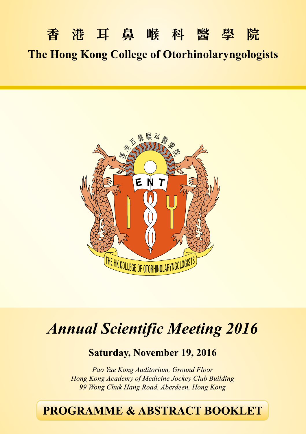# 香港耳鼻喉科醫學院 **The Hong Kong College of Otorhinolaryngologists**



# **Annual Scientific Meeting 2016**

## **Saturday, November 19, 2016**

Pao Yue Kong Auditorium, Ground Floor Hong Kong Academy of Medicine Jockey Club Building 99 Wong Chuk Hang Road, Aberdeen, Hong Kong

## **PROGRAMME & ABSTRACT BOOKLET**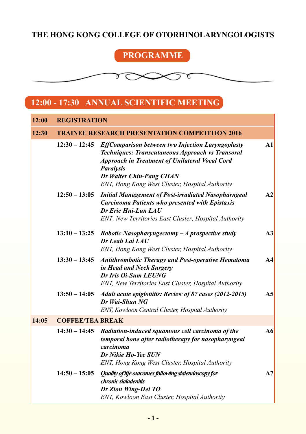## **THE HONG KONG COLLEGE OF OTORHINOLARYNGOLOGISTS**

## **PROGRAMME**

#### $\delta \propto$ ᠊ᢐ  $\boldsymbol{\times}$

## **12:00 - 17:30 ANNUAL SCIENTIFIC MEETING**

| 12:00 | <b>REGISTRATION</b><br><b>TRAINEE RESEARCH PRESENTATION COMPETITION 2016</b> |                                                                                                                                                                                                                                                                          |                |
|-------|------------------------------------------------------------------------------|--------------------------------------------------------------------------------------------------------------------------------------------------------------------------------------------------------------------------------------------------------------------------|----------------|
| 12:30 |                                                                              |                                                                                                                                                                                                                                                                          |                |
|       | $12:30 - 12:45$                                                              | <b>EffComparison between two Injection Laryngoplasty</b><br>Techniques: Transcutaneous Approach vs Transoral<br><b>Approach in Treatment of Unilateral Vocal Cord</b><br><b>Paralysis</b><br>Dr Walter Chin-Pang CHAN<br>ENT, Hong Kong West Cluster, Hospital Authority | A1             |
|       | $12:50 - 13:05$                                                              | <b>Initial Management of Post-irradiated Nasopharngeal</b><br><b>Carcinoma Patients who presented with Epistaxis</b><br>Dr Eric Hui-Lun LAU<br>ENT, New Territories East Cluster, Hospital Authority                                                                     | A2             |
|       |                                                                              | $13:10-13:25$ Robotic Nasopharyngectomy - A prospective study<br>Dr Leah Lai LAU<br>ENT, Hong Kong West Cluster, Hospital Authority                                                                                                                                      | A <sub>3</sub> |
|       | $13:30 - 13:45$                                                              | <b>Antithrombotic Therapy and Post-operative Hematoma</b><br>in Head and Neck Surgery<br>Dr Iris Oi-Sum LEUNG<br>ENT, New Territories East Cluster, Hospital Authority                                                                                                   | A <sub>4</sub> |
|       | $13:50 - 14:05$                                                              | Adult acute epiglottitis: Review of 87 cases (2012-2015)<br>Dr Wai-Shun NG<br>ENT, Kowloon Central Cluster, Hospital Authority                                                                                                                                           | A <sub>5</sub> |
| 14:05 | <b>COFFEE/TEA BREAK</b>                                                      |                                                                                                                                                                                                                                                                          |                |
|       | $14:30 - 14:45$                                                              | Radiation-induced squamous cell carcinoma of the<br>temporal bone after radiotherapy for nasopharyngeal<br>carcinoma<br>Dr Nikie Ho-Yee SUN<br>ENT, Hong Kong West Cluster, Hospital Authority                                                                           | A6             |
|       | $14:50 - 15:05$                                                              | Quality of life outcomes following sialendoscopy for<br>chronic sialadenitis<br>Dr Zion Wing-Hei TO<br>ENT, Kowloon East Cluster, Hospital Authority                                                                                                                     | A7             |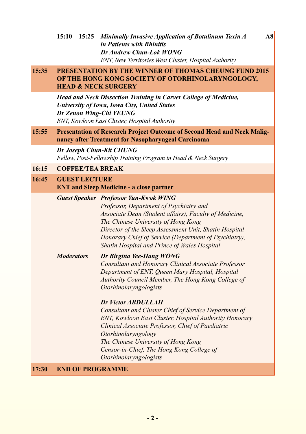| $15:10-15:25$ Minimally Invasive Application of Botulinum Toxin A |
|-------------------------------------------------------------------|
| <i>in Patients with Rhinitis</i>                                  |
| Dr Andrew Chun-Lok WONG                                           |
| ENT, New Territories West Cluster, Hospital Authority             |

**A8**

#### **15:35 PRESENTATION BY THE WINNER OF THOMAS CHEUNG FUND 2015 OF THE HONG KONG SOCIETY OF OTORHINOLARYNGOLOGY, HEAD & NECK SURGERY**

*Head and Neck Dissection Training in Carver College of Medicine, University of Iowa, Iowa City, United States Dr Zenon Wing-Chi YEUNG ENT, Kowloon East Cluster, Hospital Authority*

#### **15:55 Presentation of Research Project Outcome of Second Head and Neck Malignancy after Treatment for Nasopharyngeal Carcinoma**

*Dr Joseph Chun-Kit CHUNG Fellow, Post-Fellowship Training Program in Head & Neck Surgery*

#### **16:15 COFFEE/TEA BREAK**

### **16:45 GUEST LECTURE**

| <b>ENT and Sleep Medicine - a close partner</b> |                                                                                                                                                                                                                                                                                                                                                             |  |  |
|-------------------------------------------------|-------------------------------------------------------------------------------------------------------------------------------------------------------------------------------------------------------------------------------------------------------------------------------------------------------------------------------------------------------------|--|--|
|                                                 | <b>Guest Speaker</b> Professor Yun-Kwok WING<br>Professor, Department of Psychiatry and<br>Associate Dean (Student affairs), Faculty of Medicine,<br>The Chinese University of Hong Kong<br>Director of the Sleep Assessment Unit, Shatin Hospital<br>Honorary Chief of Service (Department of Psychiatry),<br>Shatin Hospital and Prince of Wales Hospital |  |  |
| <b>Moderators</b>                               | Dr Birgitta Yee-Hang WONG<br>Consultant and Honorary Clinical Associate Professor<br>Department of ENT, Queen Mary Hospital, Hospital<br>Authority Council Member, The Hong Kong College of<br><i><b>Otorhinolaryngologists</b></i>                                                                                                                         |  |  |

#### *Dr Victor ABDULLAH*

*Consultant and Cluster Chief of Service Department of ENT, Kowloon East Cluster, Hospital Authority Honorary Clinical Associate Professor, Chief of Paediatric Otorhinolaryngology The Chinese University of Hong Kong Censor-in-Chief, The Hong Kong College of Otorhinolaryngologists*

#### **17:30 End of Programme**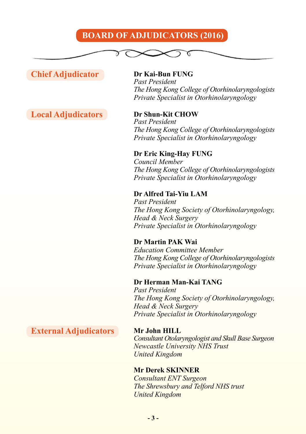## **Board of Adjudicators (2016)**

### **Chief Adjudicator Dr Kai-Bun FUNG**

**Local Adjudicators Dr Shun-Kit CHOW**

*Past President The Hong Kong College of Otorhinolaryngologists Private Specialist in Otorhinolaryngology*

π

*Past President The Hong Kong College of Otorhinolaryngologists Private Specialist in Otorhinolaryngology*

#### **Dr Eric King-Hay FUNG**

*Council Member The Hong Kong College of Otorhinolaryngologists Private Specialist in Otorhinolaryngology*

#### **Dr Alfred Tai-Yiu LAM**

*Past President The Hong Kong Society of Otorhinolaryngology, Head & Neck Surgery Private Specialist in Otorhinolaryngology*

#### **Dr Martin PAK Wai**

*Education Committee Member The Hong Kong College of Otorhinolaryngologists Private Specialist in Otorhinolaryngology*

#### **Dr Herman Man-Kai TANG**

*Past President The Hong Kong Society of Otorhinolaryngology, Head & Neck Surgery Private Specialist in Otorhinolaryngology*

**External Adjudicators Mr John HILL** 

*Consultant Otolaryngologist and Skull Base Surgeon Newcastle University NHS Trust United Kingdom*

#### **Mr Derek SKINNER**

*Consultant ENT Surgeon The Shrewsbury and Telford NHS trust United Kingdom*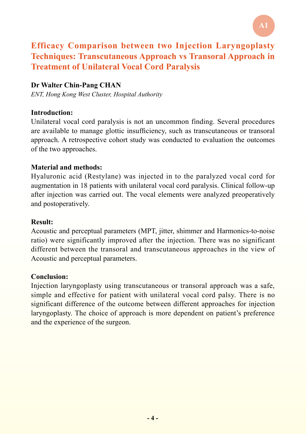## **Efficacy Comparison between two Injection Laryngoplasty Techniques: Transcutaneous Approach vs Transoral Approach in Treatment of Unilateral Vocal Cord Paralysis**

### **Dr Walter Chin-Pang CHAN**

*ENT, Hong Kong West Cluster, Hospital Authority*

#### **Introduction:**

Unilateral vocal cord paralysis is not an uncommon finding. Several procedures are available to manage glottic insufficiency, such as transcutaneous or transoral approach. A retrospective cohort study was conducted to evaluation the outcomes of the two approaches.

#### **Material and methods:**

Hyaluronic acid (Restylane) was injected in to the paralyzed vocal cord for augmentation in 18 patients with unilateral vocal cord paralysis. Clinical follow-up after injection was carried out. The vocal elements were analyzed preoperatively and postoperatively.

#### **Result:**

Acoustic and perceptual parameters (MPT, jitter, shimmer and Harmonics-to-noise ratio) were significantly improved after the injection. There was no significant different between the transoral and transcutaneous approaches in the view of Acoustic and perceptual parameters.

#### **Conclusion:**

Injection laryngoplasty using transcutaneous or transoral approach was a safe, simple and effective for patient with unilateral vocal cord palsy. There is no significant difference of the outcome between different approaches for injection laryngoplasty. The choice of approach is more dependent on patient's preference and the experience of the surgeon.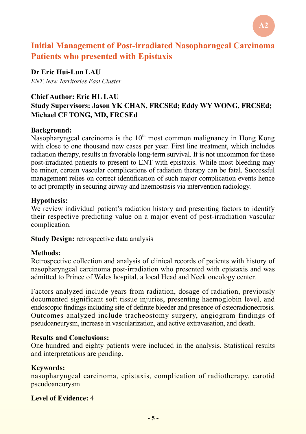## **Initial Management of Post-irradiated Nasopharngeal Carcinoma Patients who presented with Epistaxis**

**Dr Eric Hui-Lun LAU** *ENT, New Territories East Cluster*

#### **Chief Author: Eric HL LAU**

### **Study Supervisors: Jason YK CHAN, FRCSEd; Eddy WY WONG, FRCSEd; Michael CF TONG, MD, FRCSEd**

#### **Background:**

Nasopharyngeal carcinoma is the  $10<sup>th</sup>$  most common malignancy in Hong Kong with close to one thousand new cases per year. First line treatment, which includes radiation therapy, results in favorable long-term survival. It is not uncommon for these post-irradiated patients to present to ENT with epistaxis. While most bleeding may be minor, certain vascular complications of radiation therapy can be fatal. Successful management relies on correct identification of such major complication events hence to act promptly in securing airway and haemostasis via intervention radiology.

#### **Hypothesis:**

We review individual patient's radiation history and presenting factors to identify their respective predicting value on a major event of post-irradiation vascular complication.

**Study Design:** retrospective data analysis

### **Methods:**

Retrospective collection and analysis of clinical records of patients with history of nasopharyngeal carcinoma post-irradiation who presented with epistaxis and was admitted to Prince of Wales hospital, a local Head and Neck oncology center.

Factors analyzed include years from radiation, dosage of radiation, previously documented significant soft tissue injuries, presenting haemoglobin level, and endoscopic findings including site of definite bleeder and presence of osteoradionecrosis. Outcomes analyzed include tracheostomy surgery, angiogram findings of pseudoaneurysm, increase in vascularization, and active extravasation, and death.

#### **Results and Conclusions:**

One hundred and eighty patients were included in the analysis. Statistical results and interpretations are pending.

### **Keywords:**

nasopharyngeal carcinoma, epistaxis, complication of radiotherapy, carotid pseudoaneurysm

### **Level of Evidence:** 4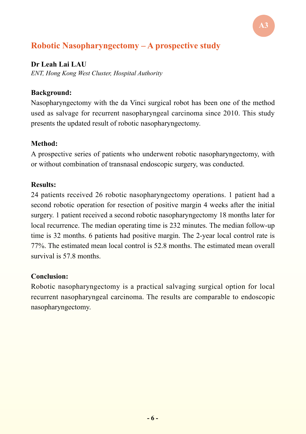## **Robotic Nasopharyngectomy – A prospective study**

#### **Dr Leah Lai LAU**

*ENT, Hong Kong West Cluster, Hospital Authority*

#### **Background:**

Nasopharyngectomy with the da Vinci surgical robot has been one of the method used as salvage for recurrent nasopharyngeal carcinoma since 2010. This study presents the updated result of robotic nasopharyngectomy.

#### **Method:**

A prospective series of patients who underwent robotic nasopharyngectomy, with or without combination of transnasal endoscopic surgery, was conducted.

#### **Results:**

24 patients received 26 robotic nasopharyngectomy operations. 1 patient had a second robotic operation for resection of positive margin 4 weeks after the initial surgery. 1 patient received a second robotic nasopharyngectomy 18 months later for local recurrence. The median operating time is 232 minutes. The median follow-up time is 32 months. 6 patients had positive margin. The 2-year local control rate is 77%. The estimated mean local control is 52.8 months. The estimated mean overall survival is 57.8 months.

### **Conclusion:**

Robotic nasopharyngectomy is a practical salvaging surgical option for local recurrent nasopharyngeal carcinoma. The results are comparable to endoscopic nasopharyngectomy.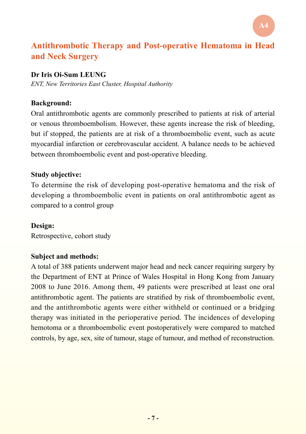## **Antithrombotic Therapy and Post-operative Hematoma in Head and Neck Surgery**

**A4**

#### **Dr Iris Oi-Sum LEUNG**

*ENT, New Territories East Cluster, Hospital Authority*

#### **Background:**

Oral antithrombotic agents are commonly prescribed to patients at risk of arterial or venous thromboembolism. However, these agents increase the risk of bleeding, but if stopped, the patients are at risk of a thromboembolic event, such as acute myocardial infarction or cerebrovascular accident. A balance needs to be achieved between thromboembolic event and post-operative bleeding.

#### **Study objective:**

To determine the risk of developing post-operative hematoma and the risk of developing a thromboembolic event in patients on oral antithrombotic agent as compared to a control group

#### **Design:**

Retrospective, cohort study

#### **Subject and methods:**

A total of 388 patients underwent major head and neck cancer requiring surgery by the Department of ENT at Prince of Wales Hospital in Hong Kong from January 2008 to June 2016. Among them, 49 patients were prescribed at least one oral antithrombotic agent. The patients are stratified by risk of thromboembolic event, and the antithrombotic agents were either withheld or continued or a bridging therapy was initiated in the perioperative period. The incidences of developing hemotoma or a thromboembolic event postoperatively were compared to matched controls, by age, sex, site of tumour, stage of tumour, and method of reconstruction.

**- 7 -**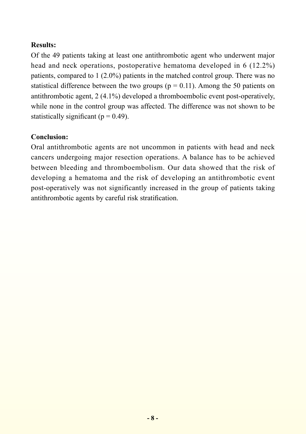### **Results:**

Of the 49 patients taking at least one antithrombotic agent who underwent major head and neck operations, postoperative hematoma developed in 6 (12.2%) patients, compared to 1 (2.0%) patients in the matched control group. There was no statistical difference between the two groups ( $p = 0.11$ ). Among the 50 patients on antithrombotic agent, 2 (4.1%) developed a thromboembolic event post-operatively, while none in the control group was affected. The difference was not shown to be statistically significant ( $p = 0.49$ ).

#### **Conclusion:**

Oral antithrombotic agents are not uncommon in patients with head and neck cancers undergoing major resection operations. A balance has to be achieved between bleeding and thromboembolism. Our data showed that the risk of developing a hematoma and the risk of developing an antithrombotic event post-operatively was not significantly increased in the group of patients taking antithrombotic agents by careful risk stratification.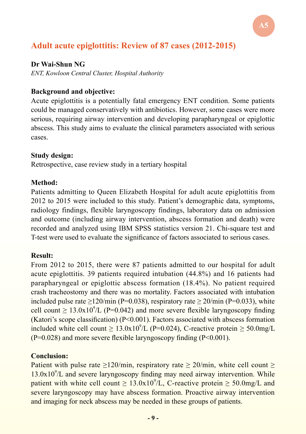## **Adult acute epiglottitis: Review of 87 cases (2012-2015)**

#### **Dr Wai-Shun NG**

*ENT, Kowloon Central Cluster, Hospital Authority*

#### **Background and objective:**

Acute epiglottitis is a potentially fatal emergency ENT condition. Some patients could be managed conservatively with antibiotics. However, some cases were more serious, requiring airway intervention and developing parapharyngeal or epiglottic abscess. This study aims to evaluate the clinical parameters associated with serious cases.

**A5**

#### **Study design:**

Retrospective, case review study in a tertiary hospital

#### **Method:**

Patients admitting to Queen Elizabeth Hospital for adult acute epiglottitis from 2012 to 2015 were included to this study. Patient's demographic data, symptoms, radiology findings, flexible laryngoscopy findings, laboratory data on admission and outcome (including airway intervention, abscess formation and death) were recorded and analyzed using IBM SPSS statistics version 21. Chi-square test and T-test were used to evaluate the significance of factors associated to serious cases.

#### **Result:**

From 2012 to 2015, there were 87 patients admitted to our hospital for adult acute epiglottitis. 39 patients required intubation (44.8%) and 16 patients had parapharyngeal or epiglottic abscess formation (18.4%). No patient required crash tracheostomy and there was no mortality. Factors associated with intubation included pulse rate  $\geq$ 120/min (P=0.038), respiratory rate  $\geq$  20/min (P=0.033), white cell count  $\geq 13.0x10^9/L$  (P=0.042) and more severe flexible laryngoscopy finding (Katori's scope classification)  $(P< 0.001)$ . Factors associated with abscess formation included white cell count  $\geq 13.0x10^9/L$  (P=0.024), C-reactive protein  $\geq 50.0$ mg/L  $(P=0.028)$  and more severe flexible laryngoscopy finding  $(P<0.001)$ .

#### **Conclusion:**

Patient with pulse rate  $\geq 120/\text{min}$ , respiratory rate  $\geq 20/\text{min}$ , white cell count  $\geq$  $13.0x10<sup>9</sup>/L$  and severe laryngoscopy finding may need airway intervention. While patient with white cell count  $\geq 13.0x10^9/L$ , C-reactive protein  $\geq 50.0$ mg/L and severe laryngoscopy may have abscess formation. Proactive airway intervention and imaging for neck abscess may be needed in these groups of patients.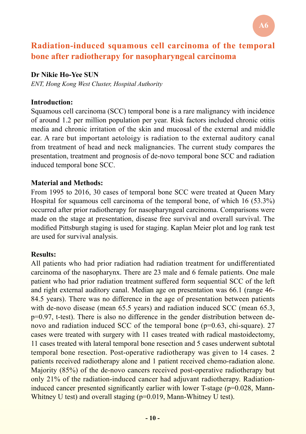## **Radiation-induced squamous cell carcinoma of the temporal bone after radiotherapy for nasopharyngeal carcinoma**

#### **Dr Nikie Ho-Yee SUN**

*ENT, Hong Kong West Cluster, Hospital Authority*

#### **Introduction:**

Squamous cell carcinoma (SCC) temporal bone is a rare malignancy with incidence of around 1.2 per million population per year. Risk factors included chronic otitis media and chronic irritation of the skin and mucosal of the external and middle ear. A rare but important aetoloigy is radiation to the external auditory canal from treatment of head and neck malignancies. The current study compares the presentation, treatment and prognosis of de-novo temporal bone SCC and radiation induced temporal bone SCC.

### **Material and Methods:**

From 1995 to 2016, 30 cases of temporal bone SCC were treated at Queen Mary Hospital for squamous cell carcinoma of the temporal bone, of which 16 (53.3%) occurred after prior radiotherapy for nasopharyngeal carcinoma. Comparisons were made on the stage at presentation, disease free survival and overall survival. The modified Pittsburgh staging is used for staging. Kaplan Meier plot and log rank test are used for survival analysis.

#### **Results:**

All patients who had prior radiation had radiation treatment for undifferentiated carcinoma of the nasopharynx. There are 23 male and 6 female patients. One male patient who had prior radiation treatment suffered form sequential SCC of the left and right external auditory canal. Median age on presentation was 66.1 (range 46- 84.5 years). There was no difference in the age of presentation between patients with de-novo disease (mean 65.5 years) and radiation induced SCC (mean 65.3, p=0.97, t-test). There is also no difference in the gender distribution between denovo and radiation induced SCC of the temporal bone (p=0.63, chi-square). 27 cases were treated with surgery with 11 cases treated with radical mastoidectomy, 11 cases treated with lateral temporal bone resection and 5 cases underwent subtotal temporal bone resection. Post-operative radiotherapy was given to 14 cases. 2 patients received radiotherapy alone and 1 patient received chemo-radiation alone. Majority (85%) of the de-novo cancers received post-operative radiotherapy but only 21% of the radiation-induced cancer had adjuvant radiotherapy. Radiationinduced cancer presented significantly earlier with lower T-stage (p=0.028, Mann-Whitney U test) and overall staging (p=0.019, Mann-Whitney U test).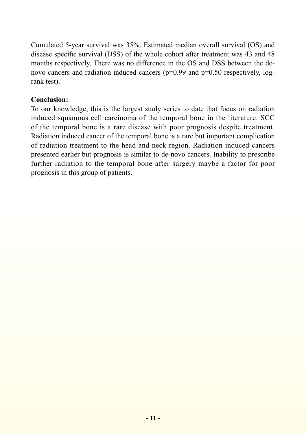Cumulated 5-year survival was 35%. Estimated median overall survival (OS) and disease specific survival (DSS) of the whole cohort after treatment was 43 and 48 months respectively. There was no difference in the OS and DSS between the denovo cancers and radiation induced cancers (p=0.99 and p=0.50 respectively, logrank test).

#### **Conclusion:**

To our knowledge, this is the largest study series to date that focus on radiation induced squamous cell carcinoma of the temporal bone in the literature. SCC of the temporal bone is a rare disease with poor prognosis despite treatment. Radiation induced cancer of the temporal bone is a rare but important complication of radiation treatment to the head and neck region. Radiation induced cancers presented earlier but prognosis is similar to de-novo cancers. Inability to prescribe further radiation to the temporal bone after surgery maybe a factor for poor prognosis in this group of patients.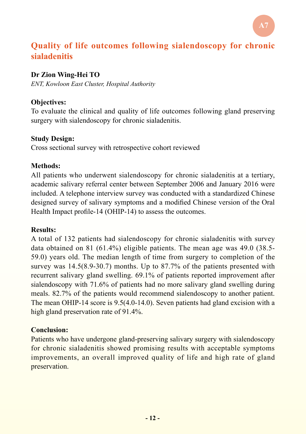## **Quality of life outcomes following sialendoscopy for chronic sialadenitis**

**A7**

#### **Dr Zion Wing-Hei TO**

*ENT, Kowloon East Cluster, Hospital Authority*

#### **Objectives:**

To evaluate the clinical and quality of life outcomes following gland preserving surgery with sialendoscopy for chronic sialadenitis.

#### **Study Design:**

Cross sectional survey with retrospective cohort reviewed

#### **Methods:**

All patients who underwent sialendoscopy for chronic sialadenitis at a tertiary, academic salivary referral center between September 2006 and January 2016 were included. A telephone interview survey was conducted with a standardized Chinese designed survey of salivary symptoms and a modified Chinese version of the Oral Health Impact profile-14 (OHIP-14) to assess the outcomes.

#### **Results:**

A total of 132 patients had sialendoscopy for chronic sialadenitis with survey data obtained on 81 (61.4%) eligible patients. The mean age was 49.0 (38.5- 59.0) years old. The median length of time from surgery to completion of the survey was 14.5(8.9-30.7) months. Up to 87.7% of the patients presented with recurrent salivary gland swelling. 69.1% of patients reported improvement after sialendoscopy with 71.6% of patients had no more salivary gland swelling during meals. 82.7% of the patients would recommend sialendoscopy to another patient. The mean OHIP-14 score is 9.5(4.0-14.0). Seven patients had gland excision with a high gland preservation rate of 91.4%.

#### **Conclusion:**

Patients who have undergone gland-preserving salivary surgery with sialendoscopy for chronic sialadenitis showed promising results with acceptable symptoms improvements, an overall improved quality of life and high rate of gland preservation.